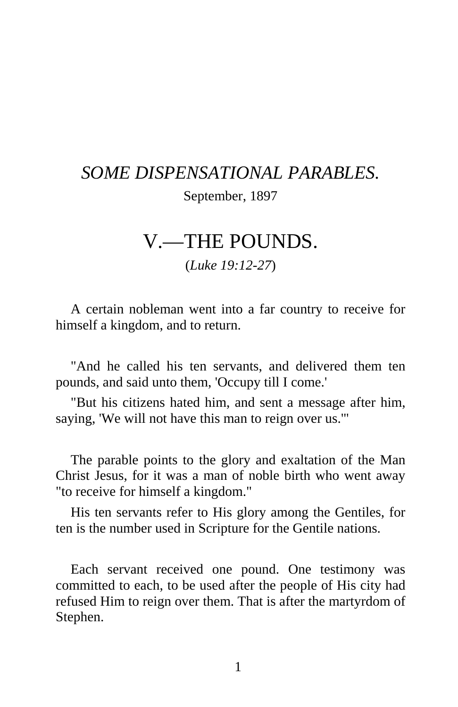## *SOME DISPENSATIONAL PARABLES.*  September, 1897

## V.—THE POUNDS.

(*Luke 19:12-27*)

A certain nobleman went into a far country to receive for himself a kingdom, and to return.

"And he called his ten servants, and delivered them ten pounds, and said unto them, 'Occupy till I come.'

"But his citizens hated him, and sent a message after him, saying, 'We will not have this man to reign over us.'"

The parable points to the glory and exaltation of the Man Christ Jesus, for it was a man of noble birth who went away "to receive for himself a kingdom."

His ten servants refer to His glory among the Gentiles, for ten is the number used in Scripture for the Gentile nations.

Each servant received one pound. One testimony was committed to each, to be used after the people of His city had refused Him to reign over them. That is after the martyrdom of Stephen.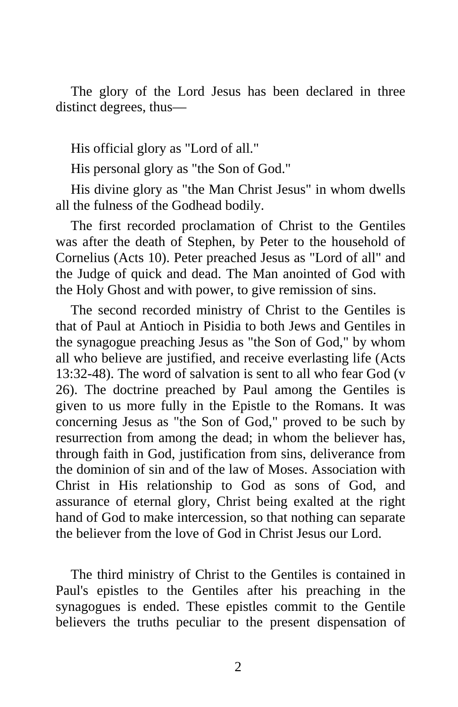The glory of the Lord Jesus has been declared in three distinct degrees, thus—

His official glory as "Lord of all."

His personal glory as "the Son of God."

His divine glory as "the Man Christ Jesus" in whom dwells all the fulness of the Godhead bodily.

The first recorded proclamation of Christ to the Gentiles was after the death of Stephen, by Peter to the household of Cornelius (Acts 10). Peter preached Jesus as "Lord of all" and the Judge of quick and dead. The Man anointed of God with the Holy Ghost and with power, to give remission of sins.

The second recorded ministry of Christ to the Gentiles is that of Paul at Antioch in Pisidia to both Jews and Gentiles in the synagogue preaching Jesus as "the Son of God," by whom all who believe are justified, and receive everlasting life (Acts 13:32-48). The word of salvation is sent to all who fear God (v 26). The doctrine preached by Paul among the Gentiles is given to us more fully in the Epistle to the Romans. It was concerning Jesus as "the Son of God," proved to be such by resurrection from among the dead; in whom the believer has, through faith in God, justification from sins, deliverance from the dominion of sin and of the law of Moses. Association with Christ in His relationship to God as sons of God, and assurance of eternal glory, Christ being exalted at the right hand of God to make intercession, so that nothing can separate the believer from the love of God in Christ Jesus our Lord.

The third ministry of Christ to the Gentiles is contained in Paul's epistles to the Gentiles after his preaching in the synagogues is ended. These epistles commit to the Gentile believers the truths peculiar to the present dispensation of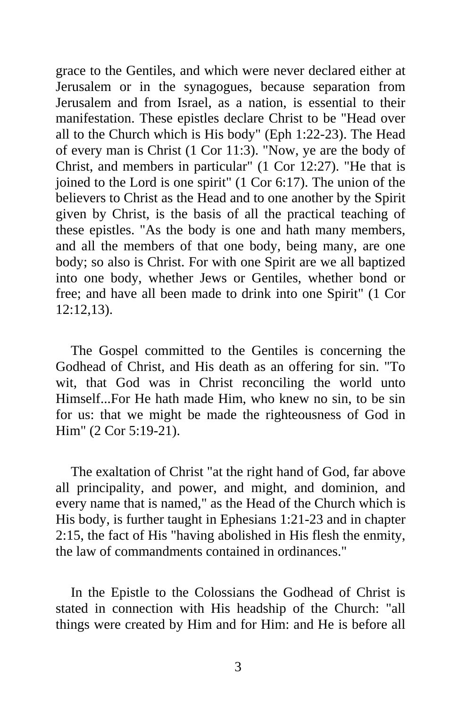grace to the Gentiles, and which were never declared either at Jerusalem or in the synagogues, because separation from Jerusalem and from Israel, as a nation, is essential to their manifestation. These epistles declare Christ to be "Head over all to the Church which is His body" (Eph 1:22-23). The Head of every man is Christ (1 Cor 11:3). "Now, ye are the body of Christ, and members in particular" (1 Cor 12:27). "He that is joined to the Lord is one spirit" (1 Cor 6:17). The union of the believers to Christ as the Head and to one another by the Spirit given by Christ, is the basis of all the practical teaching of these epistles. "As the body is one and hath many members, and all the members of that one body, being many, are one body; so also is Christ. For with one Spirit are we all baptized into one body, whether Jews or Gentiles, whether bond or free; and have all been made to drink into one Spirit" (1 Cor 12:12,13).

The Gospel committed to the Gentiles is concerning the Godhead of Christ, and His death as an offering for sin. "To wit, that God was in Christ reconciling the world unto Himself...For He hath made Him, who knew no sin, to be sin for us: that we might be made the righteousness of God in Him" (2 Cor 5:19-21).

The exaltation of Christ "at the right hand of God, far above all principality, and power, and might, and dominion, and every name that is named," as the Head of the Church which is His body, is further taught in Ephesians 1:21-23 and in chapter 2:15, the fact of His "having abolished in His flesh the enmity, the law of commandments contained in ordinances."

In the Epistle to the Colossians the Godhead of Christ is stated in connection with His headship of the Church: "all things were created by Him and for Him: and He is before all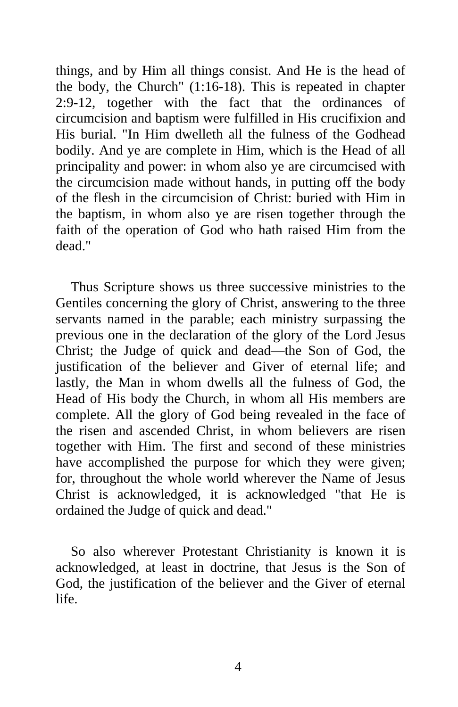things, and by Him all things consist. And He is the head of the body, the Church" (1:16-18). This is repeated in chapter 2:9-12, together with the fact that the ordinances of circumcision and baptism were fulfilled in His crucifixion and His burial. "In Him dwelleth all the fulness of the Godhead bodily. And ye are complete in Him, which is the Head of all principality and power: in whom also ye are circumcised with the circumcision made without hands, in putting off the body of the flesh in the circumcision of Christ: buried with Him in the baptism, in whom also ye are risen together through the faith of the operation of God who hath raised Him from the dead."

Thus Scripture shows us three successive ministries to the Gentiles concerning the glory of Christ, answering to the three servants named in the parable; each ministry surpassing the previous one in the declaration of the glory of the Lord Jesus Christ; the Judge of quick and dead—the Son of God, the justification of the believer and Giver of eternal life; and lastly, the Man in whom dwells all the fulness of God, the Head of His body the Church, in whom all His members are complete. All the glory of God being revealed in the face of the risen and ascended Christ, in whom believers are risen together with Him. The first and second of these ministries have accomplished the purpose for which they were given; for, throughout the whole world wherever the Name of Jesus Christ is acknowledged, it is acknowledged "that He is ordained the Judge of quick and dead."

So also wherever Protestant Christianity is known it is acknowledged, at least in doctrine, that Jesus is the Son of God, the justification of the believer and the Giver of eternal life.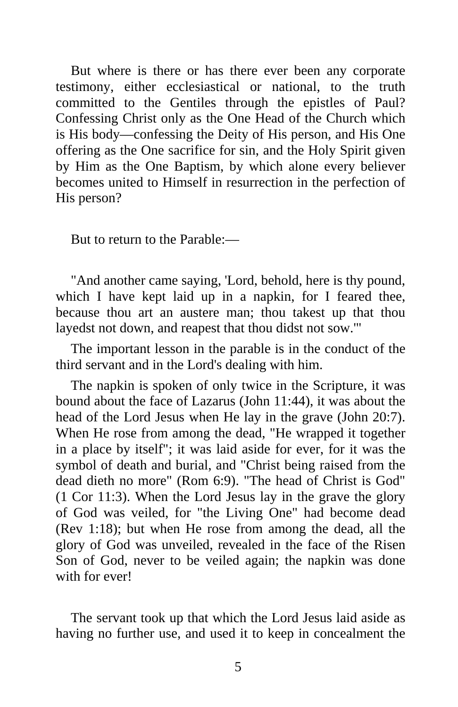But where is there or has there ever been any corporate testimony, either ecclesiastical or national, to the truth committed to the Gentiles through the epistles of Paul? Confessing Christ only as the One Head of the Church which is His body—confessing the Deity of His person, and His One offering as the One sacrifice for sin, and the Holy Spirit given by Him as the One Baptism, by which alone every believer becomes united to Himself in resurrection in the perfection of His person?

But to return to the Parable:—

"And another came saying, 'Lord, behold, here is thy pound, which I have kept laid up in a napkin, for I feared thee, because thou art an austere man; thou takest up that thou layedst not down, and reapest that thou didst not sow.'"

The important lesson in the parable is in the conduct of the third servant and in the Lord's dealing with him.

The napkin is spoken of only twice in the Scripture, it was bound about the face of Lazarus (John 11:44), it was about the head of the Lord Jesus when He lay in the grave (John 20:7). When He rose from among the dead, "He wrapped it together in a place by itself"; it was laid aside for ever, for it was the symbol of death and burial, and "Christ being raised from the dead dieth no more" (Rom 6:9). "The head of Christ is God" (1 Cor 11:3). When the Lord Jesus lay in the grave the glory of God was veiled, for "the Living One" had become dead (Rev 1:18); but when He rose from among the dead, all the glory of God was unveiled, revealed in the face of the Risen Son of God, never to be veiled again; the napkin was done with for ever!

The servant took up that which the Lord Jesus laid aside as having no further use, and used it to keep in concealment the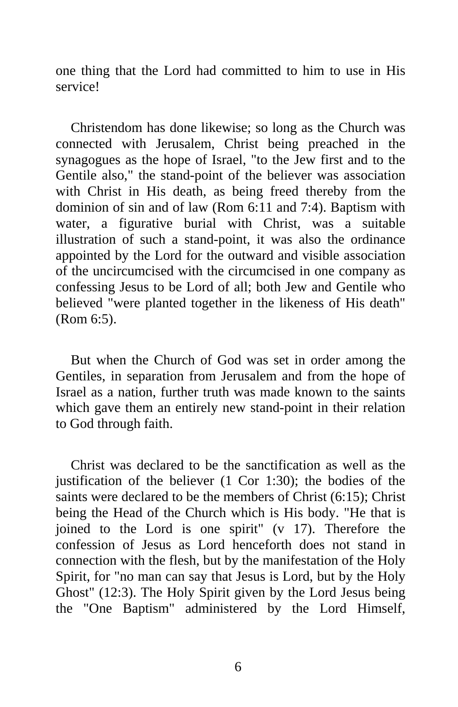one thing that the Lord had committed to him to use in His service!

Christendom has done likewise; so long as the Church was connected with Jerusalem, Christ being preached in the synagogues as the hope of Israel, "to the Jew first and to the Gentile also," the stand-point of the believer was association with Christ in His death, as being freed thereby from the dominion of sin and of law (Rom 6:11 and 7:4). Baptism with water, a figurative burial with Christ, was a suitable illustration of such a stand-point, it was also the ordinance appointed by the Lord for the outward and visible association of the uncircumcised with the circumcised in one company as confessing Jesus to be Lord of all; both Jew and Gentile who believed "were planted together in the likeness of His death" (Rom 6:5).

But when the Church of God was set in order among the Gentiles, in separation from Jerusalem and from the hope of Israel as a nation, further truth was made known to the saints which gave them an entirely new stand-point in their relation to God through faith.

Christ was declared to be the sanctification as well as the justification of the believer (1 Cor 1:30); the bodies of the saints were declared to be the members of Christ (6:15); Christ being the Head of the Church which is His body. "He that is joined to the Lord is one spirit" (v 17). Therefore the confession of Jesus as Lord henceforth does not stand in connection with the flesh, but by the manifestation of the Holy Spirit, for "no man can say that Jesus is Lord, but by the Holy Ghost" (12:3). The Holy Spirit given by the Lord Jesus being the "One Baptism" administered by the Lord Himself,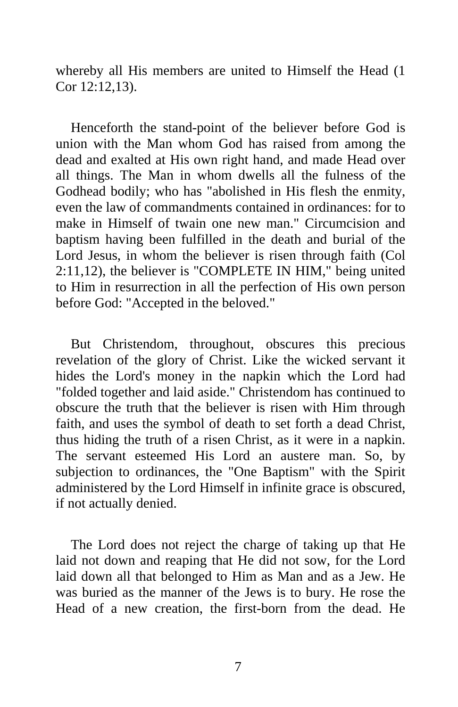whereby all His members are united to Himself the Head (1 Cor 12:12,13).

Henceforth the stand-point of the believer before God is union with the Man whom God has raised from among the dead and exalted at His own right hand, and made Head over all things. The Man in whom dwells all the fulness of the Godhead bodily; who has "abolished in His flesh the enmity, even the law of commandments contained in ordinances: for to make in Himself of twain one new man." Circumcision and baptism having been fulfilled in the death and burial of the Lord Jesus, in whom the believer is risen through faith (Col 2:11,12), the believer is "COMPLETE IN HIM," being united to Him in resurrection in all the perfection of His own person before God: "Accepted in the beloved."

But Christendom, throughout, obscures this precious revelation of the glory of Christ. Like the wicked servant it hides the Lord's money in the napkin which the Lord had "folded together and laid aside." Christendom has continued to obscure the truth that the believer is risen with Him through faith, and uses the symbol of death to set forth a dead Christ, thus hiding the truth of a risen Christ, as it were in a napkin. The servant esteemed His Lord an austere man. So, by subjection to ordinances, the "One Baptism" with the Spirit administered by the Lord Himself in infinite grace is obscured, if not actually denied.

The Lord does not reject the charge of taking up that He laid not down and reaping that He did not sow, for the Lord laid down all that belonged to Him as Man and as a Jew. He was buried as the manner of the Jews is to bury. He rose the Head of a new creation, the first-born from the dead. He